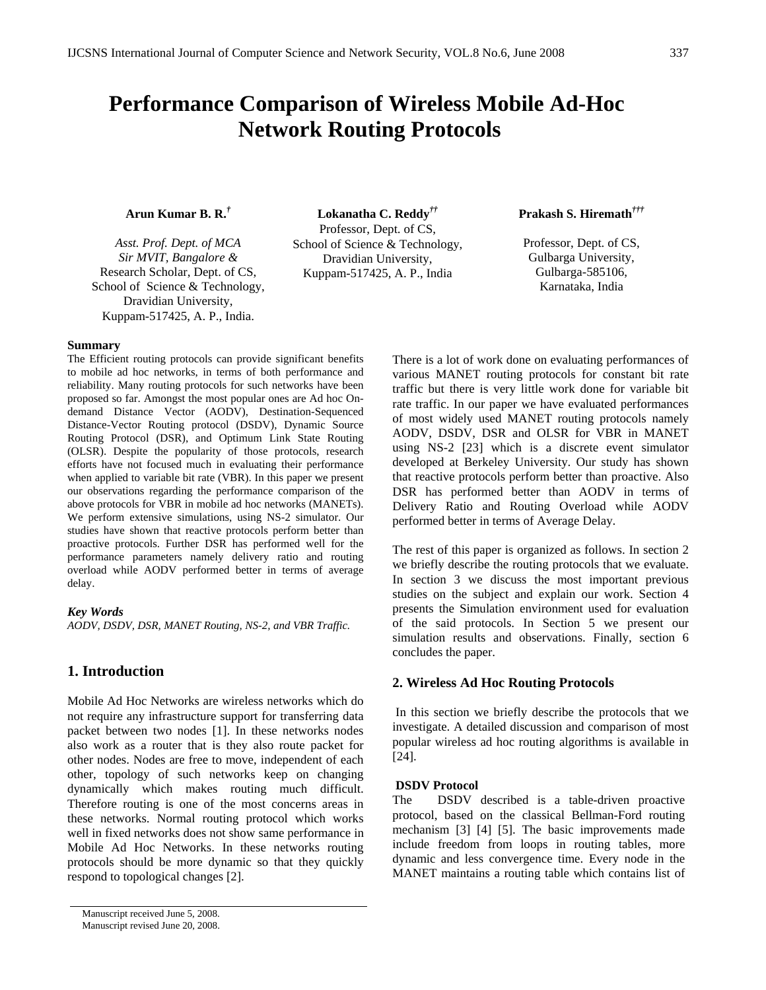# **Performance Comparison of Wireless Mobile Ad-Hoc Network Routing Protocols**

# **Arun Kumar B. R.***†*

*Asst. Prof. Dept. of MCA Sir MVIT, Bangalore &*  Research Scholar, Dept. of CS, School of Science & Technology, Dravidian University, Kuppam-517425, A. P., India.

**Summary** 

The Efficient routing protocols can provide significant benefits to mobile ad hoc networks, in terms of both performance and reliability. Many routing protocols for such networks have been proposed so far. Amongst the most popular ones are Ad hoc Ondemand Distance Vector (AODV), Destination-Sequenced Distance-Vector Routing protocol (DSDV), Dynamic Source Routing Protocol (DSR), and Optimum Link State Routing (OLSR). Despite the popularity of those protocols, research efforts have not focused much in evaluating their performance when applied to variable bit rate (VBR). In this paper we present our observations regarding the performance comparison of the above protocols for VBR in mobile ad hoc networks (MANETs). We perform extensive simulations, using NS-2 simulator. Our studies have shown that reactive protocols perform better than proactive protocols. Further DSR has performed well for the performance parameters namely delivery ratio and routing overload while AODV performed better in terms of average delay.

#### *Key Words*

*AODV, DSDV, DSR, MANET Routing, NS-2, and VBR Traffic.* 

# **1. Introduction**

Mobile Ad Hoc Networks are wireless networks which do not require any infrastructure support for transferring data packet between two nodes [1]. In these networks nodes also work as a router that is they also route packet for other nodes. Nodes are free to move, independent of each other, topology of such networks keep on changing dynamically which makes routing much difficult. Therefore routing is one of the most concerns areas in these networks. Normal routing protocol which works well in fixed networks does not show same performance in Mobile Ad Hoc Networks. In these networks routing protocols should be more dynamic so that they quickly respond to topological changes [2].

**Lokanatha [C](mailto:lokanathar@yahoo.com). Reddy***††* Professor, Dept. of CS, School of Science & Technology, Dravidian University, Kuppam-517425, A. P., India

**Prakash S. Hiremath***†††* 

Professor, Dept. of CS, Gulbarga University, Gulbarga-585106, Karnataka, India

There is a lot of work done on evaluating performances of various MANET routing protocols for constant bit rate traffic but there is very little work done for variable bit rate traffic. In our paper we have evaluated performances of most widely used MANET routing protocols namely AODV, DSDV, DSR and OLSR for VBR in MANET using NS-2 [23] which is a discrete event simulator developed at Berkeley University. Our study has shown that reactive protocols perform better than proactive. Also DSR has performed better than AODV in terms of Delivery Ratio and Routing Overload while AODV performed better in terms of Average Delay.

The rest of this paper is organized as follows. In section 2 we briefly describe the routing protocols that we evaluate. In section 3 we discuss the most important previous studies on the subject and explain our work. Section 4 presents the Simulation environment used for evaluation of the said protocols. In Section 5 we present our simulation results and observations. Finally, section 6 concludes the paper.

## **2. Wireless Ad Hoc Routing Protocols**

 In this section we briefly describe the protocols that we investigate. A detailed discussion and comparison of most popular wireless ad hoc routing algorithms is available in [24].

## **DSDV Protocol**

The DSDV described is a table-driven proactive protocol, based on the classical Bellman-Ford routing mechanism [3] [4] [5]. The basic improvements made include freedom from loops in routing tables, more dynamic and less convergence time. Every node in the MANET maintains a routing table which contains list of

Manuscript received June 5, 2008. Manuscript revised June 20, 2008.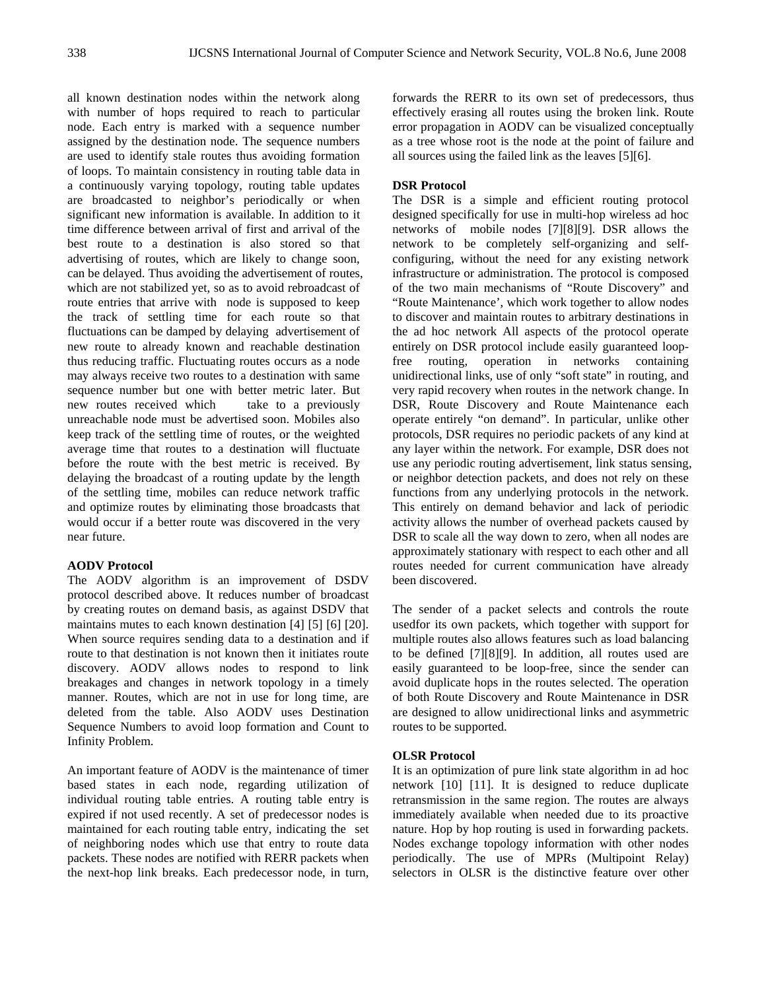all known destination nodes within the network along with number of hops required to reach to particular node. Each entry is marked with a sequence number assigned by the destination node. The sequence numbers are used to identify stale routes thus avoiding formation of loops. To maintain consistency in routing table data in a continuously varying topology, routing table updates are broadcasted to neighbor's periodically or when significant new information is available. In addition to it time difference between arrival of first and arrival of the best route to a destination is also stored so that advertising of routes, which are likely to change soon, can be delayed. Thus avoiding the advertisement of routes, which are not stabilized yet, so as to avoid rebroadcast of route entries that arrive with node is supposed to keep the track of settling time for each route so that fluctuations can be damped by delaying advertisement of new route to already known and reachable destination thus reducing traffic. Fluctuating routes occurs as a node may always receive two routes to a destination with same sequence number but one with better metric later. But new routes received which take to a previously unreachable node must be advertised soon. Mobiles also keep track of the settling time of routes, or the weighted average time that routes to a destination will fluctuate before the route with the best metric is received. By delaying the broadcast of a routing update by the length of the settling time, mobiles can reduce network traffic and optimize routes by eliminating those broadcasts that would occur if a better route was discovered in the very near future.

#### **AODV Protocol**

The AODV algorithm is an improvement of DSDV protocol described above. It reduces number of broadcast by creating routes on demand basis, as against DSDV that maintains mutes to each known destination [4] [5] [6] [20]. When source requires sending data to a destination and if route to that destination is not known then it initiates route discovery. AODV allows nodes to respond to link breakages and changes in network topology in a timely manner. Routes, which are not in use for long time, are deleted from the table. Also AODV uses Destination Sequence Numbers to avoid loop formation and Count to Infinity Problem.

An important feature of AODV is the maintenance of timer based states in each node, regarding utilization of individual routing table entries. A routing table entry is expired if not used recently. A set of predecessor nodes is maintained for each routing table entry, indicating the set of neighboring nodes which use that entry to route data packets. These nodes are notified with RERR packets when the next-hop link breaks. Each predecessor node, in turn, forwards the RERR to its own set of predecessors, thus effectively erasing all routes using the broken link. Route error propagation in AODV can be visualized conceptually as a tree whose root is the node at the point of failure and all sources using the failed link as the leaves [5][6].

# **DSR Protocol**

The DSR is a simple and efficient routing protocol designed specifically for use in multi-hop wireless ad hoc networks of mobile nodes [7][8][9]. DSR allows the network to be completely self-organizing and selfconfiguring, without the need for any existing network infrastructure or administration. The protocol is composed of the two main mechanisms of "Route Discovery" and "Route Maintenance', which work together to allow nodes to discover and maintain routes to arbitrary destinations in the ad hoc network All aspects of the protocol operate entirely on DSR protocol include easily guaranteed loopfree routing, operation in networks containing unidirectional links, use of only "soft state" in routing, and very rapid recovery when routes in the network change. In DSR, Route Discovery and Route Maintenance each operate entirely "on demand". In particular, unlike other protocols, DSR requires no periodic packets of any kind at any layer within the network. For example, DSR does not use any periodic routing advertisement, link status sensing, or neighbor detection packets, and does not rely on these functions from any underlying protocols in the network. This entirely on demand behavior and lack of periodic activity allows the number of overhead packets caused by DSR to scale all the way down to zero, when all nodes are approximately stationary with respect to each other and all routes needed for current communication have already been discovered.

The sender of a packet selects and controls the route usedfor its own packets, which together with support for multiple routes also allows features such as load balancing to be defined [7][8][9]. In addition, all routes used are easily guaranteed to be loop-free, since the sender can avoid duplicate hops in the routes selected. The operation of both Route Discovery and Route Maintenance in DSR are designed to allow unidirectional links and asymmetric routes to be supported.

# **OLSR Protocol**

It is an optimization of pure link state algorithm in ad hoc network [10] [11]. It is designed to reduce duplicate retransmission in the same region. The routes are always immediately available when needed due to its proactive nature. Hop by hop routing is used in forwarding packets. Nodes exchange topology information with other nodes periodically. The use of MPRs (Multipoint Relay) selectors in OLSR is the distinctive feature over other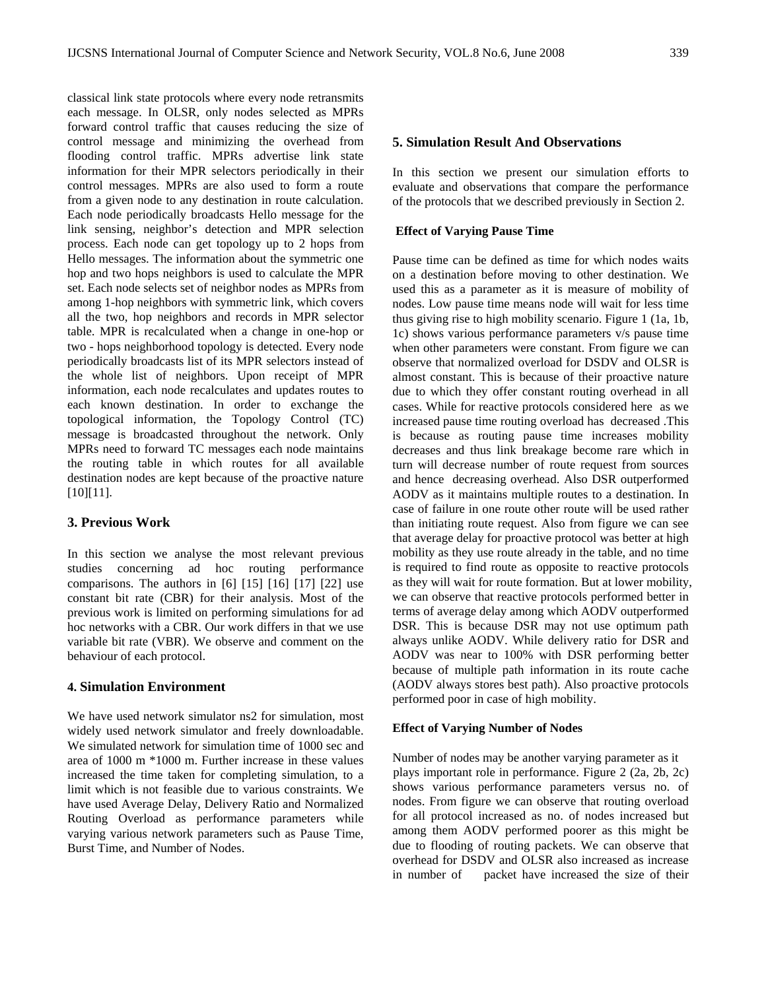classical link state protocols where every node retransmits each message. In OLSR, only nodes selected as MPRs forward control traffic that causes reducing the size of control message and minimizing the overhead from flooding control traffic. MPRs advertise link state information for their MPR selectors periodically in their control messages. MPRs are also used to form a route from a given node to any destination in route calculation. Each node periodically broadcasts Hello message for the link sensing, neighbor's detection and MPR selection process. Each node can get topology up to 2 hops from Hello messages. The information about the symmetric one hop and two hops neighbors is used to calculate the MPR set. Each node selects set of neighbor nodes as MPRs from among 1-hop neighbors with symmetric link, which covers all the two, hop neighbors and records in MPR selector table. MPR is recalculated when a change in one-hop or two - hops neighborhood topology is detected. Every node periodically broadcasts list of its MPR selectors instead of the whole list of neighbors. Upon receipt of MPR information, each node recalculates and updates routes to each known destination. In order to exchange the topological information, the Topology Control (TC) message is broadcasted throughout the network. Only MPRs need to forward TC messages each node maintains the routing table in which routes for all available destination nodes are kept because of the proactive nature [10][11].

# **3. Previous Work**

In this section we analyse the most relevant previous studies concerning ad hoc routing performance comparisons. The authors in [6] [15] [16] [17] [22] use constant bit rate (CBR) for their analysis. Most of the previous work is limited on performing simulations for ad hoc networks with a CBR. Our work differs in that we use variable bit rate (VBR). We observe and comment on the behaviour of each protocol.

#### **4. Simulation Environment**

We have used network simulator ns2 for simulation, most widely used network simulator and freely downloadable. We simulated network for simulation time of 1000 sec and area of 1000 m \*1000 m. Further increase in these values increased the time taken for completing simulation, to a limit which is not feasible due to various constraints. We have used Average Delay, Delivery Ratio and Normalized Routing Overload as performance parameters while varying various network parameters such as Pause Time, Burst Time, and Number of Nodes.

## **5. Simulation Result And Observations**

In this section we present our simulation efforts to evaluate and observations that compare the performance of the protocols that we described previously in Section 2.

#### **Effect of Varying Pause Time**

Pause time can be defined as time for which nodes waits on a destination before moving to other destination. We used this as a parameter as it is measure of mobility of nodes. Low pause time means node will wait for less time thus giving rise to high mobility scenario. Figure 1 (1a, 1b, 1c) shows various performance parameters v/s pause time when other parameters were constant. From figure we can observe that normalized overload for DSDV and OLSR is almost constant. This is because of their proactive nature due to which they offer constant routing overhead in all cases. While for reactive protocols considered here as we increased pause time routing overload has decreased .This is because as routing pause time increases mobility decreases and thus link breakage become rare which in turn will decrease number of route request from sources and hence decreasing overhead. Also DSR outperformed AODV as it maintains multiple routes to a destination. In case of failure in one route other route will be used rather than initiating route request. Also from figure we can see that average delay for proactive protocol was better at high mobility as they use route already in the table, and no time is required to find route as opposite to reactive protocols as they will wait for route formation. But at lower mobility, we can observe that reactive protocols performed better in terms of average delay among which AODV outperformed DSR. This is because DSR may not use optimum path always unlike AODV. While delivery ratio for DSR and AODV was near to 100% with DSR performing better because of multiple path information in its route cache (AODV always stores best path). Also proactive protocols performed poor in case of high mobility.

## **Effect of Varying Number of Nodes**

Number of nodes may be another varying parameter as it plays important role in performance. Figure 2 (2a, 2b, 2c) shows various performance parameters versus no. of nodes. From figure we can observe that routing overload for all protocol increased as no. of nodes increased but among them AODV performed poorer as this might be due to flooding of routing packets. We can observe that overhead for DSDV and OLSR also increased as increase in number of packet have increased the size of their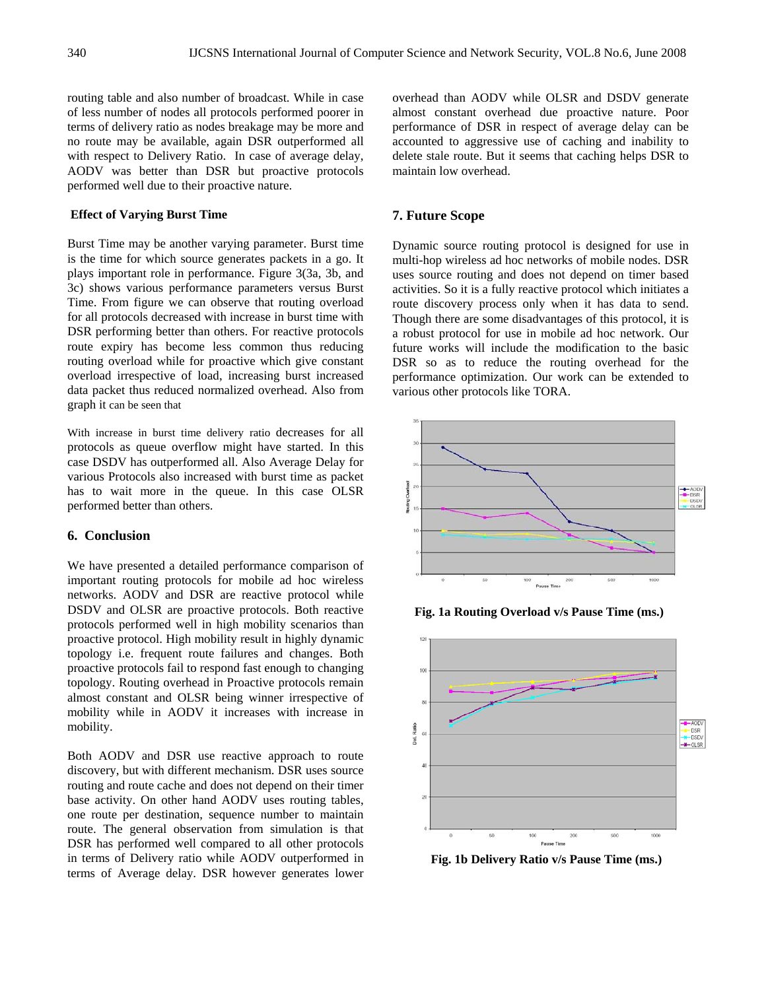routing table and also number of broadcast. While in case of less number of nodes all protocols performed poorer in terms of delivery ratio as nodes breakage may be more and no route may be available, again DSR outperformed all with respect to Delivery Ratio. In case of average delay, AODV was better than DSR but proactive protocols performed well due to their proactive nature.

#### **Effect of Varying Burst Time**

Burst Time may be another varying parameter. Burst time is the time for which source generates packets in a go. It plays important role in performance. Figure 3(3a, 3b, and 3c) shows various performance parameters versus Burst Time. From figure we can observe that routing overload for all protocols decreased with increase in burst time with DSR performing better than others. For reactive protocols route expiry has become less common thus reducing routing overload while for proactive which give constant overload irrespective of load, increasing burst increased data packet thus reduced normalized overhead. Also from graph it can be seen that

With increase in burst time delivery ratio decreases for all protocols as queue overflow might have started. In this case DSDV has outperformed all. Also Average Delay for various Protocols also increased with burst time as packet has to wait more in the queue. In this case OLSR performed better than others.

## **6. Conclusion**

We have presented a detailed performance comparison of important routing protocols for mobile ad hoc wireless networks. AODV and DSR are reactive protocol while DSDV and OLSR are proactive protocols. Both reactive protocols performed well in high mobility scenarios than proactive protocol. High mobility result in highly dynamic topology i.e. frequent route failures and changes. Both proactive protocols fail to respond fast enough to changing topology. Routing overhead in Proactive protocols remain almost constant and OLSR being winner irrespective of mobility while in AODV it increases with increase in mobility.

Both AODV and DSR use reactive approach to route discovery, but with different mechanism. DSR uses source routing and route cache and does not depend on their timer base activity. On other hand AODV uses routing tables, one route per destination, sequence number to maintain route. The general observation from simulation is that DSR has performed well compared to all other protocols in terms of Delivery ratio while AODV outperformed in terms of Average delay. DSR however generates lower

overhead than AODV while OLSR and DSDV generate almost constant overhead due proactive nature. Poor performance of DSR in respect of average delay can be accounted to aggressive use of caching and inability to delete stale route. But it seems that caching helps DSR to maintain low overhead.

## **7. Future Scope**

Dynamic source routing protocol is designed for use in multi-hop wireless ad hoc networks of mobile nodes. DSR uses source routing and does not depend on timer based activities. So it is a fully reactive protocol which initiates a route discovery process only when it has data to send. Though there are some disadvantages of this protocol, it is a robust protocol for use in mobile ad hoc network. Our future works will include the modification to the basic DSR so as to reduce the routing overhead for the performance optimization. Our work can be extended to various other protocols like TORA.



**Fig. 1a Routing Overload v/s Pause Time (ms.)**



 **Fig. 1b Delivery Ratio v/s Pause Time (ms.)**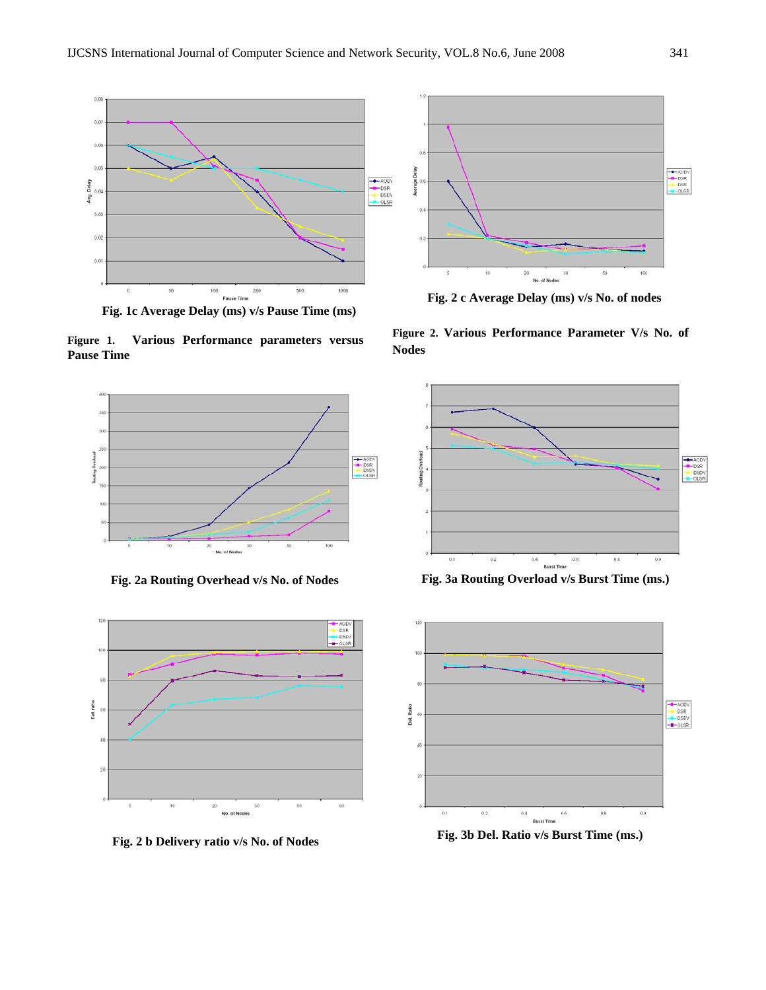

**Fig. 1c Average Delay (ms) v/s Pause Time (ms)** 

**Figure 1. Various Performance parameters versus Pause Time** 



 **Fig. 2a Routing Overhead v/s No. of Nodes** 



**Fig. 2 b Delivery ratio v/s No. of Nodes** 



 **Fig. 2 c Average Delay (ms) v/s No. of nodes** 

**Figure 2. Various Performance Parameter V/s No. of Nodes**



**Fig. 3a Routing Overload v/s Burst Time (ms.)** 



**Fig. 3b Del. Ratio v/s Burst Time (ms.)**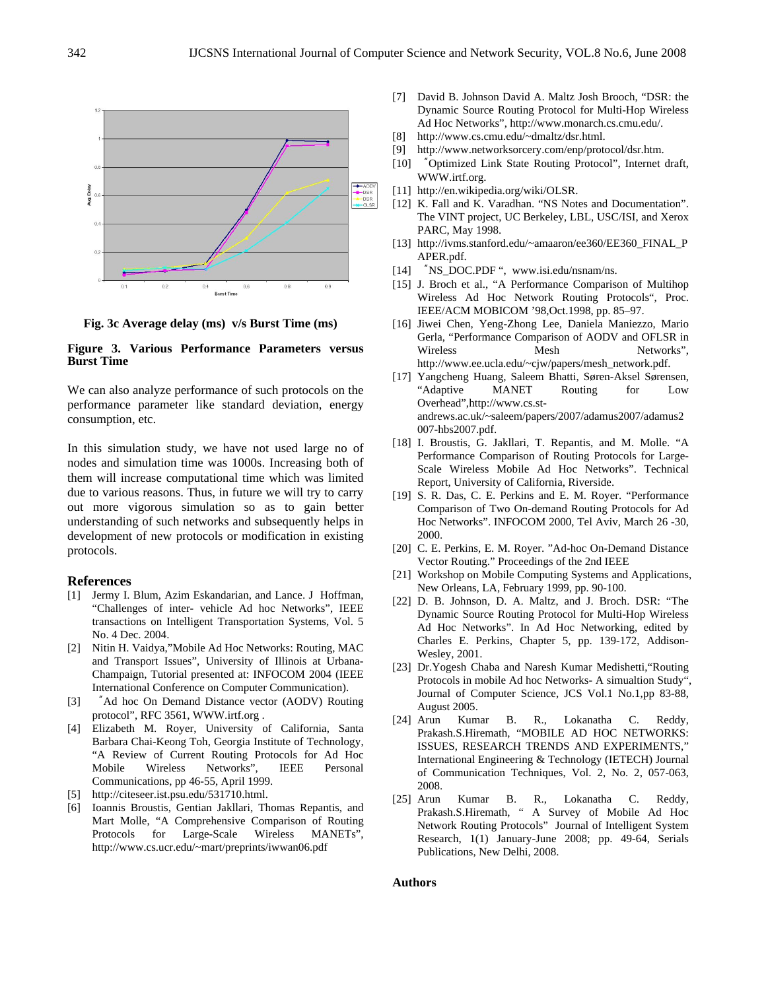

 **Fig. 3c Average delay (ms) v/s Burst Time (ms)** 

#### **Figure 3. Various Performance Parameters versus Burst Time**

We can also analyze performance of such protocols on the performance parameter like standard deviation, energy consumption, etc.

In this simulation study, we have not used large no of nodes and simulation time was 1000s. Increasing both of them will increase computational time which was limited due to various reasons. Thus, in future we will try to carry out more vigorous simulation so as to gain better understanding of such networks and subsequently helps in development of new protocols or modification in existing protocols.

#### **References**

- [1] Jermy I. Blum, Azim Eskandarian, and Lance. J Hoffman, "Challenges of inter- vehicle Ad hoc Networks", IEEE transactions on Intelligent Transportation Systems, Vol. 5 No. 4 Dec. 2004.
- [2] Nitin H. Vaidya,"Mobile Ad Hoc Networks: Routing, MAC and Transport Issues", University of Illinois at Urbana-Champaign, Tutorial presented at: INFOCOM 2004 (IEEE International Conference on Computer Communication).
- [3] "Ad hoc On Demand Distance vector (AODV) Routing protocol", RFC 3561, WWW.irtf.org .
- [4] Elizabeth M. Royer, University of California, Santa Barbara Chai-Keong Toh, Georgia Institute of Technology, "A Review of Current Routing Protocols for Ad Hoc Mobile Wireless Networks", IEEE Personal Communications, pp 46-55, April 1999.
- [5] http://citeseer.ist.psu.edu/531710.html.
- [6] Ioannis Broustis, Gentian Jakllari, Thomas Repantis, and Mart Molle, "A Comprehensive Comparison of Routing Protocols for Large-Scale Wireless MANETs", http://www.cs.ucr.edu/~mart/preprints/iwwan06.pdf
- [7] David B. Johnson David A. Maltz Josh Brooch, "DSR: the Dynamic Source Routing Protocol for Multi-Hop Wireless Ad Hoc Networks", http://www.monarch.cs.cmu.edu/.
- [8] http://www.cs.cmu.edu/~dmaltz/dsr.html.
- [9] http://www.networksorcery.com/enp/protocol/dsr.htm.
- [10] "Optimized Link State Routing Protocol", Internet draft, WWW.irtf.org.
- [11] http://en.wikipedia.org/wiki/OLSR.
- [12] K. Fall and K. Varadhan. "NS Notes and Documentation". The VINT project, UC Berkeley, LBL, USC/ISI, and Xerox PARC, May 1998.
- [13] http://ivms.stanford.edu/~amaaron/ee360/EE360\_FINAL\_P APER.pdf.
- [14] "NS\_DOC.PDF", www.isi.edu/nsnam/ns.
- [15] J. Broch et al., "A Performance Comparison of Multihop Wireless Ad Hoc Network Routing Protocols", Proc. IEEE/ACM MOBICOM '98,Oct.1998, pp. 85–97.
- [16] Jiwei Chen, Yeng-Zhong Lee, Daniela Maniezzo, Mario Gerla, "Performance Comparison of AODV and OFLSR in Wireless Mesh Networks", http://www.ee.ucla.edu/~cjw/papers/mesh\_network.pdf.
- [17] Yangcheng Huang, Saleem Bhatti, Søren-Aksel Sørensen, "Adaptive MANET Routing for Low Overhead",http://www.cs.standrews.ac.uk/~saleem/papers/2007/adamus2007/adamus2 007-hbs2007.pdf.
- [18] I. Broustis, G. Jakllari, T. Repantis, and M. Molle. "A Performance Comparison of Routing Protocols for Large-Scale Wireless Mobile Ad Hoc Networks". Technical Report, University of California, Riverside.
- [19] S. R. Das, C. E. Perkins and E. M. Royer. "Performance Comparison of Two On-demand Routing Protocols for Ad Hoc Networks". INFOCOM 2000, Tel Aviv, March 26 -30, 2000.
- [20] C. E. Perkins, E. M. Royer. "Ad-hoc On-Demand Distance Vector Routing." Proceedings of the 2nd IEEE
- [21] Workshop on Mobile Computing Systems and Applications, New Orleans, LA, February 1999, pp. 90-100.
- [22] D. B. Johnson, D. A. Maltz, and J. Broch. DSR: "The Dynamic Source Routing Protocol for Multi-Hop Wireless Ad Hoc Networks". In Ad Hoc Networking, edited by Charles E. Perkins, Chapter 5, pp. 139-172, Addison-Wesley, 2001.
- [23] Dr.Yogesh Chaba and Naresh Kumar Medishetti,"Routing Protocols in mobile Ad hoc Networks- A simualtion Study", Journal of Computer Science, JCS Vol.1 No.1,pp 83-88, August 2005.
- [24] Arun Kumar B. R., Lokanatha C. Reddy, Prakash.S.Hiremath, "MOBILE AD HOC NETWORKS: ISSUES, RESEARCH TRENDS AND EXPERIMENTS," International Engineering & Technology (IETECH) Journal of Communication Techniques, Vol. 2, No. 2, 057-063, 2008.
- [25] Arun Kumar B. R., Lokanatha C. Reddy, Prakash.S.Hiremath, " A Survey of Mobile Ad Hoc Network Routing Protocols" Journal of Intelligent System Research, 1(1) January-June 2008; pp. 49-64, Serials Publications, New Delhi, 2008.

#### **Authors**